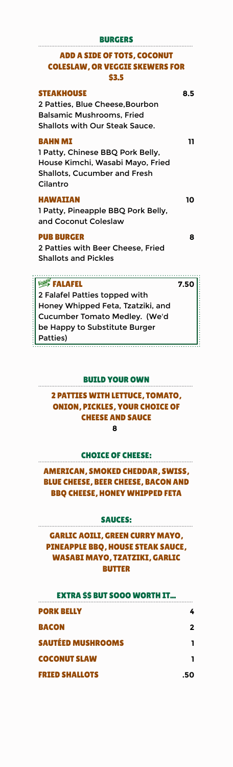| <b>BURGERS</b>                                                                                                                                                     |      |  |
|--------------------------------------------------------------------------------------------------------------------------------------------------------------------|------|--|
| <b>ADD A SIDE OF TOTS, COCONUT</b><br><b>COLESLAW, OR VEGGIE SKEWERS FOR</b><br>\$3.5                                                                              |      |  |
| <b>STEAKHOUSE</b><br>2 Patties, Blue Cheese, Bourbon<br><b>Balsamic Mushrooms, Fried</b><br><b>Shallots with Our Steak Sauce.</b>                                  | 8.5  |  |
| <b>BAHN MI</b><br>1 Patty, Chinese BBQ Pork Belly,<br>House Kimchi, Wasabi Mayo, Fried<br><b>Shallots, Cucumber and Fresh</b><br>Cilantro                          | 11   |  |
| <b>HAWAIIAN</b><br>1 Patty, Pineapple BBQ Pork Belly,<br>and Coconut Coleslaw                                                                                      | 10   |  |
| <b>PUB BURGER</b><br>2 Patties with Beer Cheese, Fried<br><b>Shallots and Pickles</b><br>.                                                                         | 8    |  |
| Veggie FALAFEL<br>2 Falafel Patties topped with<br>Honey Whipped Feta, Tzatziki, and<br>Cucumber Tomato Medley. (We'd<br>be Happy to Substitute Burger<br>Patties) | 7.50 |  |

Honey Whipped Feta, Tzatziki, and Cucumber Tomato Medley. (We'd be Happy to Substitute Burger Patties)

\*\*\*\*\*\*\*\*\*\*\*\*\*\*\*\*\*\*\*\*\*\*\*\*\*\*\*\*\*\*

# ááááááááááááááááááááááááááááááááááááááááááááááááááááááááááááááááááááááááááááááááááááááááááááááá BUILD YOUR OWN

## 2 PATTIES WITH LETTUCE, TOMATO, ONION, PICKLES, YOUR CHOICE OF CHEESE AND SAUCE **8**

# ááááááááááááááááááááááááááááááááááááááááááááááááááááááááááááááááááááááááááááááááááááááááááááááá CHOICE OF CHEESE:

AMERICAN, SMOKED CHEDDAR, SWISS, BLUE CHEESE, BEER CHEESE, BACON AND BBQ CHEESE, HONEY WHIPPED FETA

# ááááááááááááááááááááááááááááááááááááááááááááááááááááááááááááááááááááááááááááááááááááááááááááááá SAUCES:

GARLIC AOILI, GREEN CURRY MAYO, PINEAPPLE BBQ, HOUSE STEAK SAUCE, WASABI MAYO, TZATZIKI, GARLIC BUTTER

| <b>EXTRA \$\$ BUT SOOO WORTH IT</b> |   |
|-------------------------------------|---|
| <b>PORK BELLY</b>                   |   |
| <b>BACON</b>                        | 2 |
| <b>SAUTÉED MUSHROOMS</b>            |   |
| <b>COCONUT SLAW</b>                 |   |
| <b>FRIED SHALLOTS</b>               |   |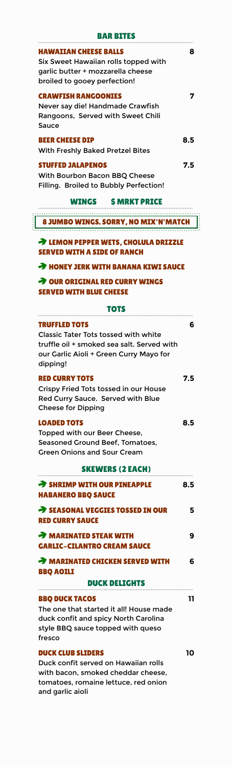| <b>BAR BITES</b>                                                                                                                                                                |     |
|---------------------------------------------------------------------------------------------------------------------------------------------------------------------------------|-----|
| HAWAIIAN CHEESE BALLS<br>Six Sweet Hawaiian rolls topped with<br>garlic butter + mozzarella cheese<br>broiled to gooey perfection!                                              | 8   |
| <b>CRAWFISH RANGOONIES</b><br>Never say die! Handmade Crawfish<br>Rangoons, Served with Sweet Chili<br>Sauce                                                                    | 7   |
| <b>BEER CHEESE DIP</b><br>With Freshly Baked Pretzel Bites                                                                                                                      | 8.5 |
| <b>STUFFED JALAPENOS</b><br>With Bourbon Bacon BBQ Cheese<br>Filling. Broiled to Bubbly Perfection!                                                                             | 7.5 |
| <b>WINGS SMRKT PRICE</b>                                                                                                                                                        |     |
| 8 JUMBO WINGS, SORRY, NO MIX'N'MATCH                                                                                                                                            |     |
|                                                                                                                                                                                 |     |
| <b>EXAMPLE PROPER WETS, CHOLULA DRIZZLE</b><br><b>SERVED WITH A SIDE OF RANCH</b>                                                                                               |     |
| <b>A HONEY JERK WITH BANANA KIWI SAUCE</b>                                                                                                                                      |     |
| > OUR ORIGINAL RED CURRY WINGS<br>SERVED WITH BLUE CHEESE                                                                                                                       |     |
| тотѕ                                                                                                                                                                            |     |
| <b>TRUFFLED TOTS</b><br><b>Classic Tater Tots tossed with white</b><br>truffle oil + smoked sea salt. Served with<br>our Garlic Aioli + Green Curry Mayo for<br>dipping!        | 6   |
| <b>RED CURRY TOTS</b><br>Crispy Fried Tots tossed in our House<br>Red Curry Sauce. Served with Blue<br><b>Cheese for Dipping</b>                                                | 7.5 |
| <b>LOADED TOTS</b><br>Topped with our Beer Cheese,<br>Seasoned Ground Beef, Tomatoes,<br><b>Green Onions and Sour Cream</b>                                                     | 8.5 |
| <b>SKEWERS (2 EACH)</b>                                                                                                                                                         |     |
| SHRIMP WITH OUR PINEAPPLE<br><b>HABANERO BBQ SAUCE</b>                                                                                                                          | 8.5 |
| SEASONAL VEGGIES TOSSED IN OUR<br><b>RED CURRY SAUCE</b>                                                                                                                        | 5   |
| <b>A MARINATED STEAK WITH</b><br><b>GARLIC-CILANTRO CREAM SAUCE</b>                                                                                                             | 9   |
| <b>A MARINATED CHICKEN SERVED WITH</b><br><b>BBQ AOILI</b>                                                                                                                      | 6   |
| <b>DUCK DELIGHTS</b><br><b>BBQ DUCK TACOS</b><br>The one that started it all! House made<br>duck confit and spicy North Carolina<br>style BBQ sauce topped with queso<br>fresco | 11  |
| <b>DUCK CLUB SLIDERS</b><br>Duck confit served on Hawaiian rolls<br>with bacon, smoked cheddar cheese,<br>tomatoes, romaine lettuce, red onion<br>and garlic aioli              | 10  |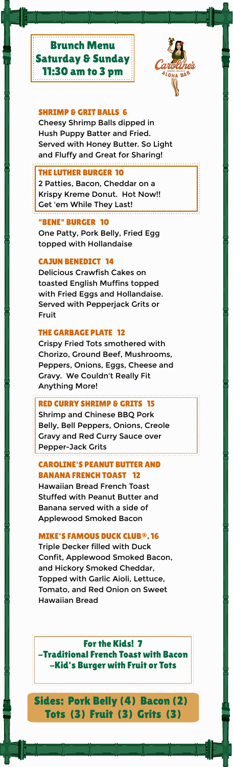

#### SHRIMP & GRIT BALLS 6

Cheesy Shrimp Balls dipped in Hush Puppy Batter and Fried. Served with Honey Butter. So Light and Fluffy and Great for Sharing!

#### THE LUTHER BURGER 10

2 Patties, Bacon, Cheddar on a Krispy Kreme Donut. Hot Now!! Get 'em While They Last!

#### "BENE" BURGER 10

One Patty, Pork Belly, Fried Egg topped with Hollandaise

#### CAJUN BENEDICT 14

Delicious Crawfish Cakes on toasted English Muffins topped with Fried Eggs and Hollandaise. Served with Pepperjack Grits or Fruit

#### THE GARBAGE PLATE 12

Crispy Fried Tots smothered with Chorizo, Ground Beef, Mushrooms, Peppers, Onions, Eggs, Cheese and Gravy. We Couldn't Really Fit Anything More!

## RED CURRY SHRIMP & GRITS 15

Shrimp and Chinese BBQ Pork Belly, Bell Peppers, Onions, Creole Gravy and Red Curry Sauce over Pepper-Jack Grits

## CAROLINE'S PEANUT BUTTER AND BANANA FRENCH TOAST 12

Hawaiian Bread French Toast Stuffed with Peanut Butter and Banana served with a side of Applewood Smoked Bacon

## MIKE'S FAMOUS DUCK CLUB®. 16

Triple Decker filled with Duck Confit, Applewood Smoked Bacon, and Hickory Smoked Cheddar, Topped with Garlic Aioli, Lettuce, Tomato, and Red Onion on Sweet Hawaiian Bread

For the Kids! 7 -Traditional French Toast with Bacon -Kid's Burger with Fruit or Tots

Sides: Pork Belly (4) Bacon (2) Tots (3) Fruit (3) Grits (3)